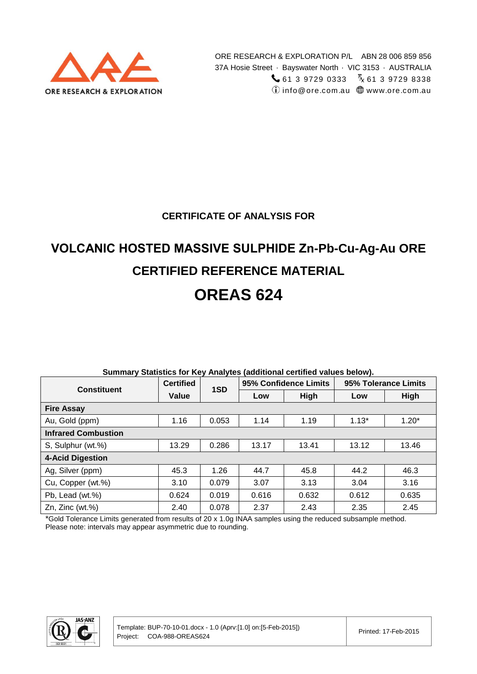

### **CERTIFICATE OF ANALYSIS FOR**

# **VOLCANIC HOSTED MASSIVE SULPHIDE Zn-Pb-Cu-Ag-Au ORE CERTIFIED REFERENCE MATERIAL**

## **OREAS 624**

| <b>Constituent</b>         | <b>Certified</b> | 1SD   |       | 95% Confidence Limits | 95% Tolerance Limits |         |  |
|----------------------------|------------------|-------|-------|-----------------------|----------------------|---------|--|
|                            | Value            |       | Low   | High                  | Low                  | High    |  |
| <b>Fire Assay</b>          |                  |       |       |                       |                      |         |  |
| Au, Gold (ppm)             | 1.16             | 0.053 | 1.14  | 1.19                  | $1.13*$              | $1.20*$ |  |
| <b>Infrared Combustion</b> |                  |       |       |                       |                      |         |  |
| S, Sulphur (wt.%)          | 13.29            | 0.286 | 13.17 | 13.41                 | 13.12                | 13.46   |  |
| <b>4-Acid Digestion</b>    |                  |       |       |                       |                      |         |  |
| Ag, Silver (ppm)           | 45.3             | 1.26  | 44.7  | 45.8                  | 44.2                 | 46.3    |  |
| Cu, Copper (wt.%)          | 3.10             | 0.079 | 3.07  | 3.13                  | 3.04                 | 3.16    |  |
| Pb, Lead (wt.%)            | 0.624            | 0.019 | 0.616 | 0.632                 | 0.612                | 0.635   |  |
| $Zn$ , $Zinc$ (wt. $%$ )   | 2.40             | 0.078 | 2.37  | 2.43                  | 2.35                 | 2.45    |  |

#### **Summary Statistics for Key Analytes (additional certified values below).**

\*Gold Tolerance Limits generated from results of 20 x 1.0g INAA samples using the reduced subsample method. Please note: intervals may appear asymmetric due to rounding.

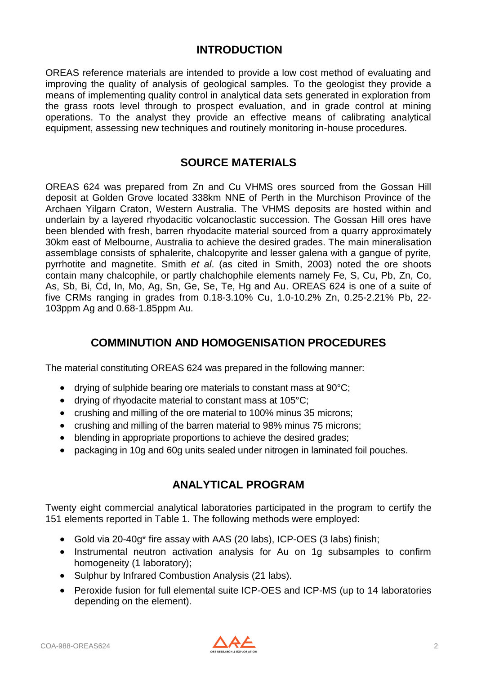### **INTRODUCTION**

OREAS reference materials are intended to provide a low cost method of evaluating and improving the quality of analysis of geological samples. To the geologist they provide a means of implementing quality control in analytical data sets generated in exploration from the grass roots level through to prospect evaluation, and in grade control at mining operations. To the analyst they provide an effective means of calibrating analytical equipment, assessing new techniques and routinely monitoring in-house procedures.

### **SOURCE MATERIALS**

OREAS 624 was prepared from Zn and Cu VHMS ores sourced from the Gossan Hill deposit at Golden Grove located 338km NNE of Perth in the Murchison Province of the Archaen Yilgarn Craton, Western Australia. The VHMS deposits are hosted within and underlain by a layered rhyodacitic volcanoclastic succession. The Gossan Hill ores have been blended with fresh, barren rhyodacite material sourced from a quarry approximately 30km east of Melbourne, Australia to achieve the desired grades. The main mineralisation assemblage consists of sphalerite, chalcopyrite and lesser galena with a gangue of pyrite, pyrrhotite and magnetite. Smith *et al*. (as cited in Smith, 2003) noted the ore shoots contain many chalcophile, or partly chalchophile elements namely Fe, S, Cu, Pb, Zn, Co, As, Sb, Bi, Cd, In, Mo, Ag, Sn, Ge, Se, Te, Hg and Au. OREAS 624 is one of a suite of five CRMs ranging in grades from 0.18-3.10% Cu, 1.0-10.2% Zn, 0.25-2.21% Pb, 22- 103ppm Ag and 0.68-1.85ppm Au.

### **COMMINUTION AND HOMOGENISATION PROCEDURES**

The material constituting OREAS 624 was prepared in the following manner:

- drying of sulphide bearing ore materials to constant mass at 90°C;
- drying of rhyodacite material to constant mass at 105°C;
- crushing and milling of the ore material to 100% minus 35 microns;
- crushing and milling of the barren material to 98% minus 75 microns;
- blending in appropriate proportions to achieve the desired grades;
- packaging in 10g and 60g units sealed under nitrogen in laminated foil pouches.

### **ANALYTICAL PROGRAM**

Twenty eight commercial analytical laboratories participated in the program to certify the 151 elements reported in Table 1. The following methods were employed:

- Gold via 20-40g\* fire assay with AAS (20 labs), ICP-OES (3 labs) finish;
- Instrumental neutron activation analysis for Au on 1g subsamples to confirm homogeneity (1 laboratory);
- Sulphur by Infrared Combustion Analysis (21 labs).
- Peroxide fusion for full elemental suite ICP-OES and ICP-MS (up to 14 laboratories depending on the element).

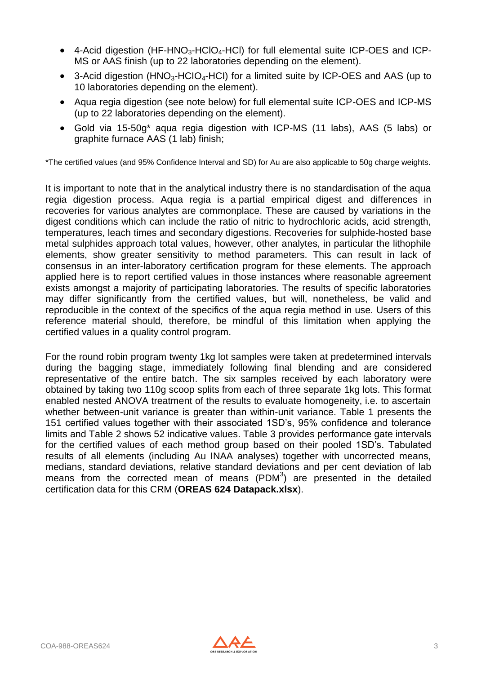- $\bullet$  4-Acid digestion (HF-HNO<sub>3</sub>-HCIO<sub>4</sub>-HCI) for full elemental suite ICP-OES and ICP-MS or AAS finish (up to 22 laboratories depending on the element).
- 3-Acid digestion (HNO<sub>3</sub>-HCIO<sub>4</sub>-HCI) for a limited suite by ICP-OES and AAS (up to 10 laboratories depending on the element).
- Aqua regia digestion (see note below) for full elemental suite ICP-OES and ICP-MS (up to 22 laboratories depending on the element).
- Gold via 15-50g\* aqua regia digestion with ICP-MS (11 labs), AAS (5 labs) or graphite furnace AAS (1 lab) finish;

\*The certified values (and 95% Confidence Interval and SD) for Au are also applicable to 50g charge weights.

It is important to note that in the analytical industry there is no standardisation of the aqua regia digestion process. Aqua regia is a partial empirical digest and differences in recoveries for various analytes are commonplace. These are caused by variations in the digest conditions which can include the ratio of nitric to hydrochloric acids, acid strength, temperatures, leach times and secondary digestions. Recoveries for sulphide-hosted base metal sulphides approach total values, however, other analytes, in particular the lithophile elements, show greater sensitivity to method parameters. This can result in lack of consensus in an inter-laboratory certification program for these elements. The approach applied here is to report certified values in those instances where reasonable agreement exists amongst a majority of participating laboratories. The results of specific laboratories may differ significantly from the certified values, but will, nonetheless, be valid and reproducible in the context of the specifics of the aqua regia method in use. Users of this reference material should, therefore, be mindful of this limitation when applying the certified values in a quality control program.

For the round robin program twenty 1kg lot samples were taken at predetermined intervals during the bagging stage, immediately following final blending and are considered representative of the entire batch. The six samples received by each laboratory were obtained by taking two 110g scoop splits from each of three separate 1kg lots. This format enabled nested ANOVA treatment of the results to evaluate homogeneity, i.e. to ascertain whether between-unit variance is greater than within-unit variance. Table 1 presents the 151 certified values together with their associated 1SD's, 95% confidence and tolerance limits and Table 2 shows 52 indicative values. Table 3 provides performance gate intervals for the certified values of each method group based on their pooled 1SD's. Tabulated results of all elements (including Au INAA analyses) together with uncorrected means, medians, standard deviations, relative standard deviations and per cent deviation of lab means from the corrected mean of means  $(PDM<sup>3</sup>)$  are presented in the detailed certification data for this CRM (**OREAS 624 Datapack.xlsx**).

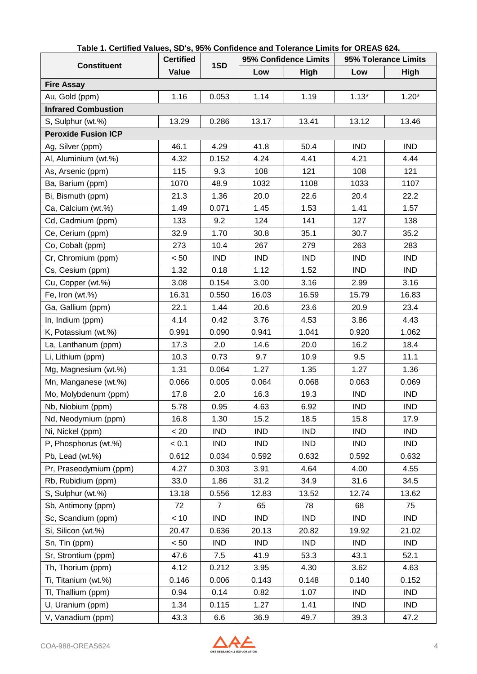| <b>Constituent</b>         | <b>Certified</b> | 1SD            |            | 95% Confidence Limits | 95% Tolerance Limits |            |  |
|----------------------------|------------------|----------------|------------|-----------------------|----------------------|------------|--|
|                            | Value            |                | Low        | High                  | Low                  | High       |  |
| <b>Fire Assay</b>          |                  |                |            |                       |                      |            |  |
| Au, Gold (ppm)             | 1.16             | 0.053          | 1.14       | 1.19                  | $1.13*$              | $1.20*$    |  |
| <b>Infrared Combustion</b> |                  |                |            |                       |                      |            |  |
| S, Sulphur (wt.%)          | 13.29            | 0.286          | 13.17      | 13.41                 | 13.12                | 13.46      |  |
| <b>Peroxide Fusion ICP</b> |                  |                |            |                       |                      |            |  |
| Ag, Silver (ppm)           | 46.1             | 4.29           | 41.8       | 50.4                  | <b>IND</b>           | <b>IND</b> |  |
| Al, Aluminium (wt.%)       | 4.32             | 0.152          | 4.24       | 4.41                  | 4.21                 | 4.44       |  |
| As, Arsenic (ppm)          | 115              | 9.3            | 108        | 121                   | 108                  | 121        |  |
| Ba, Barium (ppm)           | 1070             | 48.9           | 1032       | 1108                  | 1033                 | 1107       |  |
| Bi, Bismuth (ppm)          | 21.3             | 1.36           | 20.0       | 22.6                  | 20.4                 | 22.2       |  |
| Ca, Calcium (wt.%)         | 1.49             | 0.071          | 1.45       | 1.53                  | 1.41                 | 1.57       |  |
| Cd, Cadmium (ppm)          | 133              | 9.2            | 124        | 141                   | 127                  | 138        |  |
| Ce, Cerium (ppm)           | 32.9             | 1.70           | 30.8       | 35.1                  | 30.7                 | 35.2       |  |
| Co, Cobalt (ppm)           | 273              | 10.4           | 267        | 279                   | 263                  | 283        |  |
| Cr, Chromium (ppm)         | < 50             | <b>IND</b>     | <b>IND</b> | <b>IND</b>            | <b>IND</b>           | <b>IND</b> |  |
| Cs, Cesium (ppm)           | 1.32             | 0.18           | 1.12       | 1.52                  | <b>IND</b>           | <b>IND</b> |  |
| Cu, Copper (wt.%)          | 3.08             | 0.154          | 3.00       | 3.16                  | 2.99                 | 3.16       |  |
| Fe, Iron (wt.%)            | 16.31            | 0.550          | 16.03      | 16.59                 | 15.79                | 16.83      |  |
| Ga, Gallium (ppm)          | 22.1             | 1.44           | 20.6       | 23.6                  | 20.9                 | 23.4       |  |
| In, Indium (ppm)           | 4.14             | 0.42           | 3.76       | 4.53                  | 3.86                 | 4.43       |  |
| K, Potassium (wt.%)        | 0.991            | 0.090          | 0.941      | 1.041                 | 0.920                | 1.062      |  |
| La, Lanthanum (ppm)        | 17.3             | 2.0            | 14.6       | 20.0                  | 16.2                 | 18.4       |  |
| Li, Lithium (ppm)          | 10.3             | 0.73           | 9.7        | 10.9                  | 9.5                  | 11.1       |  |
| Mg, Magnesium (wt.%)       | 1.31             | 0.064          | 1.27       | 1.35                  | 1.27                 | 1.36       |  |
| Mn, Manganese (wt.%)       | 0.066            | 0.005          | 0.064      | 0.068                 | 0.063                | 0.069      |  |
| Mo, Molybdenum (ppm)       | 17.8             | 2.0            | 16.3       | 19.3                  | <b>IND</b>           | <b>IND</b> |  |
| Nb, Niobium (ppm)          | 5.78             | 0.95           | 4.63       | 6.92                  | <b>IND</b>           | <b>IND</b> |  |
| Nd, Neodymium (ppm)        | 16.8             | 1.30           | 15.2       | 18.5                  | 15.8                 | 17.9       |  |
| Ni, Nickel (ppm)           | < 20             | <b>IND</b>     | <b>IND</b> | <b>IND</b>            | <b>IND</b>           | <b>IND</b> |  |
| P, Phosphorus (wt.%)       | < 0.1            | <b>IND</b>     | <b>IND</b> | <b>IND</b>            | <b>IND</b>           | <b>IND</b> |  |
| Pb, Lead (wt.%)            | 0.612            | 0.034          | 0.592      | 0.632                 | 0.592                | 0.632      |  |
| Pr, Praseodymium (ppm)     | 4.27             | 0.303          | 3.91       | 4.64                  | 4.00                 | 4.55       |  |
| Rb, Rubidium (ppm)         | 33.0             | 1.86           | 31.2       | 34.9                  | 31.6                 | 34.5       |  |
| S, Sulphur (wt.%)          | 13.18            | 0.556          | 12.83      | 13.52                 | 12.74                | 13.62      |  |
| Sb, Antimony (ppm)         | 72               | $\overline{7}$ | 65         | 78                    | 68                   | 75         |  |
| Sc, Scandium (ppm)         | < 10             | <b>IND</b>     | <b>IND</b> | <b>IND</b>            | <b>IND</b>           | <b>IND</b> |  |
| Si, Silicon (wt.%)         | 20.47            | 0.636          | 20.13      | 20.82                 | 19.92                | 21.02      |  |
| Sn, Tin (ppm)              | < 50             | <b>IND</b>     | <b>IND</b> | <b>IND</b>            | <b>IND</b>           | <b>IND</b> |  |
| Sr, Strontium (ppm)        | 47.6             | 7.5            | 41.9       | 53.3                  | 43.1                 | 52.1       |  |
| Th, Thorium (ppm)          | 4.12             | 0.212          | 3.95       | 4.30                  | 3.62                 | 4.63       |  |
| Ti, Titanium (wt.%)        | 0.146            | 0.006          | 0.143      | 0.148                 | 0.140                | 0.152      |  |
| TI, Thallium (ppm)         | 0.94             | 0.14           | 0.82       | 1.07                  | <b>IND</b>           | <b>IND</b> |  |
| U, Uranium (ppm)           | 1.34             | 0.115          | 1.27       | 1.41                  | <b>IND</b>           | IND        |  |
| V, Vanadium (ppm)          | 43.3             | 6.6            | 36.9       | 49.7                  | 39.3                 | 47.2       |  |

#### **Table 1. Certified Values, SD's, 95% Confidence and Tolerance Limits for OREAS 624.**

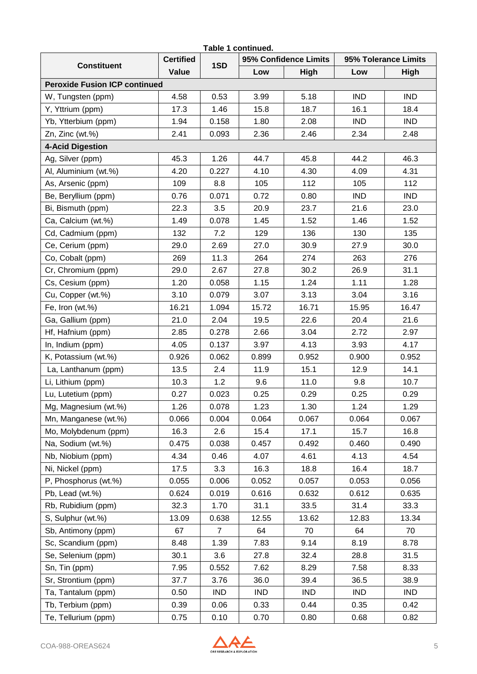| Table 1 continued.                   |                  |                |            |                       |            |                      |  |  |  |
|--------------------------------------|------------------|----------------|------------|-----------------------|------------|----------------------|--|--|--|
| <b>Constituent</b>                   | <b>Certified</b> | 1SD            |            | 95% Confidence Limits |            | 95% Tolerance Limits |  |  |  |
|                                      | Value            |                | Low        | <b>High</b>           | Low        | High                 |  |  |  |
| <b>Peroxide Fusion ICP continued</b> |                  |                |            |                       |            |                      |  |  |  |
| W, Tungsten (ppm)                    | 4.58             | 0.53           | 3.99       | 5.18                  | <b>IND</b> | <b>IND</b>           |  |  |  |
| Y, Yttrium (ppm)                     | 17.3             | 1.46           | 15.8       | 18.7                  | 16.1       | 18.4                 |  |  |  |
| Yb, Ytterbium (ppm)                  | 1.94             | 0.158          | 1.80       | 2.08                  | <b>IND</b> | <b>IND</b>           |  |  |  |
| Zn, Zinc (wt.%)                      | 2.41             | 0.093          | 2.36       | 2.46                  | 2.34       | 2.48                 |  |  |  |
| 4-Acid Digestion                     |                  |                |            |                       |            |                      |  |  |  |
| Ag, Silver (ppm)                     | 45.3             | 1.26           | 44.7       | 45.8                  | 44.2       | 46.3                 |  |  |  |
| Al, Aluminium (wt.%)                 | 4.20             | 0.227          | 4.10       | 4.30                  | 4.09       | 4.31                 |  |  |  |
| As, Arsenic (ppm)                    | 109              | 8.8            | 105        | 112                   | 105        | 112                  |  |  |  |
| Be, Beryllium (ppm)                  | 0.76             | 0.071          | 0.72       | 0.80                  | <b>IND</b> | <b>IND</b>           |  |  |  |
| Bi, Bismuth (ppm)                    | 22.3             | 3.5            | 20.9       | 23.7                  | 21.6       | 23.0                 |  |  |  |
| Ca, Calcium (wt.%)                   | 1.49             | 0.078          | 1.45       | 1.52                  | 1.46       | 1.52                 |  |  |  |
| Cd, Cadmium (ppm)                    | 132              | 7.2            | 129        | 136                   | 130        | 135                  |  |  |  |
| Ce, Cerium (ppm)                     | 29.0             | 2.69           | 27.0       | 30.9                  | 27.9       | 30.0                 |  |  |  |
| Co, Cobalt (ppm)                     | 269              | 11.3           | 264        | 274                   | 263        | 276                  |  |  |  |
| Cr, Chromium (ppm)                   | 29.0             | 2.67           | 27.8       | 30.2                  | 26.9       | 31.1                 |  |  |  |
| Cs, Cesium (ppm)                     | 1.20             | 0.058          | 1.15       | 1.24                  | 1.11       | 1.28                 |  |  |  |
| Cu, Copper (wt.%)                    | 3.10             | 0.079          | 3.07       | 3.13                  | 3.04       | 3.16                 |  |  |  |
| Fe, Iron (wt.%)                      | 16.21            | 1.094          | 15.72      | 16.71                 | 15.95      | 16.47                |  |  |  |
| Ga, Gallium (ppm)                    | 21.0             | 2.04           | 19.5       | 22.6                  | 20.4       | 21.6                 |  |  |  |
| Hf, Hafnium (ppm)                    | 2.85             | 0.278          | 2.66       | 3.04                  | 2.72       | 2.97                 |  |  |  |
| In, Indium (ppm)                     | 4.05             | 0.137          | 3.97       | 4.13                  | 3.93       | 4.17                 |  |  |  |
| K, Potassium (wt.%)                  | 0.926            | 0.062          | 0.899      | 0.952                 | 0.900      | 0.952                |  |  |  |
| La, Lanthanum (ppm)                  | 13.5             | 2.4            | 11.9       | 15.1                  | 12.9       | 14.1                 |  |  |  |
| Li, Lithium (ppm)                    | 10.3             | 1.2            | 9.6        | 11.0                  | 9.8        | 10.7                 |  |  |  |
| Lu, Lutetium (ppm)                   | 0.27             | 0.023          | 0.25       | 0.29                  | 0.25       | 0.29                 |  |  |  |
| Mg, Magnesium (wt.%)                 | 1.26             | 0.078          | 1.23       | 1.30                  | 1.24       | 1.29                 |  |  |  |
| Mn, Manganese (wt.%)                 | 0.066            | 0.004          | 0.064      | 0.067                 | 0.064      | 0.067                |  |  |  |
| Mo, Molybdenum (ppm)                 | 16.3             | 2.6            | 15.4       | 17.1                  | 15.7       | 16.8                 |  |  |  |
| Na, Sodium (wt.%)                    | 0.475            | 0.038          | 0.457      | 0.492                 | 0.460      | 0.490                |  |  |  |
| Nb, Niobium (ppm)                    | 4.34             | 0.46           | 4.07       | 4.61                  | 4.13       | 4.54                 |  |  |  |
| Ni, Nickel (ppm)                     | 17.5             | 3.3            | 16.3       | 18.8                  | 16.4       | 18.7                 |  |  |  |
| P, Phosphorus (wt.%)                 | 0.055            | 0.006          | 0.052      | 0.057                 | 0.053      | 0.056                |  |  |  |
| Pb, Lead (wt.%)                      | 0.624            | 0.019          | 0.616      | 0.632                 | 0.612      | 0.635                |  |  |  |
| Rb, Rubidium (ppm)                   | 32.3             | 1.70           | 31.1       | 33.5                  | 31.4       | 33.3                 |  |  |  |
| S, Sulphur (wt.%)                    | 13.09            | 0.638          | 12.55      | 13.62                 | 12.83      | 13.34                |  |  |  |
| Sb, Antimony (ppm)                   | 67               | $\overline{7}$ | 64         | 70                    | 64         | 70                   |  |  |  |
| Sc, Scandium (ppm)                   | 8.48             | 1.39           | 7.83       | 9.14                  | 8.19       | 8.78                 |  |  |  |
| Se, Selenium (ppm)                   | 30.1             | 3.6            | 27.8       | 32.4                  | 28.8       | 31.5                 |  |  |  |
| Sn, Tin (ppm)                        | 7.95             | 0.552          | 7.62       | 8.29                  | 7.58       | 8.33                 |  |  |  |
| Sr, Strontium (ppm)                  | 37.7             | 3.76           | 36.0       | 39.4                  | 36.5       | 38.9                 |  |  |  |
| Ta, Tantalum (ppm)                   | 0.50             | <b>IND</b>     | <b>IND</b> | <b>IND</b>            | <b>IND</b> | <b>IND</b>           |  |  |  |
| Tb, Terbium (ppm)                    | 0.39             | 0.06           | 0.33       | 0.44                  | 0.35       | 0.42                 |  |  |  |
| Te, Tellurium (ppm)                  | 0.75             | 0.10           | 0.70       | 0.80                  | 0.68       | 0.82                 |  |  |  |

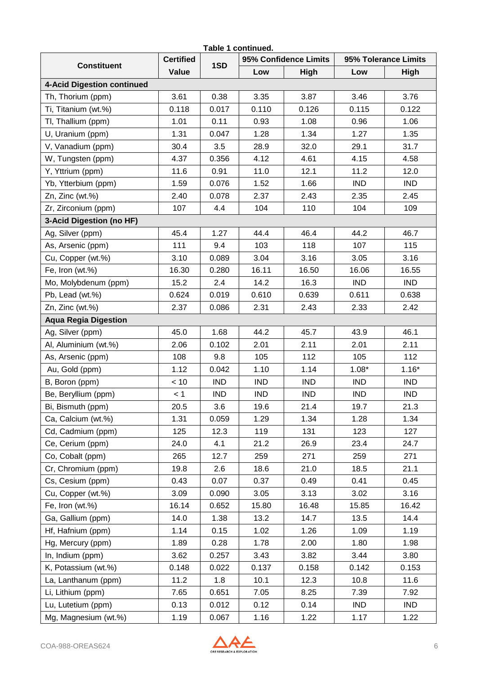| Table 1 continued.                |                  |            |            |                       |                      |            |  |  |  |
|-----------------------------------|------------------|------------|------------|-----------------------|----------------------|------------|--|--|--|
| <b>Constituent</b>                | <b>Certified</b> | 1SD        |            | 95% Confidence Limits | 95% Tolerance Limits |            |  |  |  |
|                                   | Value            |            | Low        | High                  | Low                  | High       |  |  |  |
| <b>4-Acid Digestion continued</b> |                  |            |            |                       |                      |            |  |  |  |
| Th, Thorium (ppm)                 | 3.61             | 0.38       | 3.35       | 3.87                  | 3.46                 | 3.76       |  |  |  |
| Ti, Titanium (wt.%)               | 0.118            | 0.017      | 0.110      | 0.126                 | 0.115                | 0.122      |  |  |  |
| TI, Thallium (ppm)                | 1.01             | 0.11       | 0.93       | 1.08                  | 0.96                 | 1.06       |  |  |  |
| U, Uranium (ppm)                  | 1.31             | 0.047      | 1.28       | 1.34                  | 1.27                 | 1.35       |  |  |  |
| V, Vanadium (ppm)                 | 30.4             | 3.5        | 28.9       | 32.0                  | 29.1                 | 31.7       |  |  |  |
| W, Tungsten (ppm)                 | 4.37             | 0.356      | 4.12       | 4.61                  | 4.15                 | 4.58       |  |  |  |
| Y, Yttrium (ppm)                  | 11.6             | 0.91       | 11.0       | 12.1                  | 11.2                 | 12.0       |  |  |  |
| Yb, Ytterbium (ppm)               | 1.59             | 0.076      | 1.52       | 1.66                  | <b>IND</b>           | <b>IND</b> |  |  |  |
| Zn, Zinc (wt.%)                   | 2.40             | 0.078      | 2.37       | 2.43                  | 2.35                 | 2.45       |  |  |  |
| Zr, Zirconium (ppm)               | 107              | 4.4        | 104        | 110                   | 104                  | 109        |  |  |  |
| 3-Acid Digestion (no HF)          |                  |            |            |                       |                      |            |  |  |  |
| Ag, Silver (ppm)                  | 45.4             | 1.27       | 44.4       | 46.4                  | 44.2                 | 46.7       |  |  |  |
| As, Arsenic (ppm)                 | 111              | 9.4        | 103        | 118                   | 107                  | 115        |  |  |  |
| Cu, Copper (wt.%)                 | 3.10             | 0.089      | 3.04       | 3.16                  | 3.05                 | 3.16       |  |  |  |
| Fe, Iron (wt.%)                   | 16.30            | 0.280      | 16.11      | 16.50                 | 16.06                | 16.55      |  |  |  |
| Mo, Molybdenum (ppm)              | 15.2             | 2.4        | 14.2       | 16.3                  | <b>IND</b>           | <b>IND</b> |  |  |  |
| Pb, Lead (wt.%)                   | 0.624            | 0.019      | 0.610      | 0.639                 | 0.611                | 0.638      |  |  |  |
| Zn, Zinc (wt.%)                   | 2.37             | 0.086      | 2.31       | 2.43                  | 2.33                 | 2.42       |  |  |  |
| <b>Aqua Regia Digestion</b>       |                  |            |            |                       |                      |            |  |  |  |
| Ag, Silver (ppm)                  | 45.0             | 1.68       | 44.2       | 45.7                  | 43.9                 | 46.1       |  |  |  |
| Al, Aluminium (wt.%)              | 2.06             | 0.102      | 2.01       | 2.11                  | 2.01                 | 2.11       |  |  |  |
| As, Arsenic (ppm)                 | 108              | 9.8        | 105        | 112                   | 105                  | 112        |  |  |  |
| Au, Gold (ppm)                    | 1.12             | 0.042      | 1.10       | 1.14                  | $1.08*$              | $1.16*$    |  |  |  |
| B, Boron (ppm)                    | < 10             | <b>IND</b> | <b>IND</b> | <b>IND</b>            | <b>IND</b>           | <b>IND</b> |  |  |  |
| Be, Beryllium (ppm)               | < 1              | <b>IND</b> | <b>IND</b> | <b>IND</b>            | <b>IND</b>           | <b>IND</b> |  |  |  |
| Bi, Bismuth (ppm)                 | 20.5             | 3.6        | 19.6       | 21.4                  | 19.7                 | 21.3       |  |  |  |
| Ca, Calcium (wt.%)                | 1.31             | 0.059      | 1.29       | 1.34                  | 1.28                 | 1.34       |  |  |  |
| Cd, Cadmium (ppm)                 | 125              | 12.3       | 119        | 131                   | 123                  | 127        |  |  |  |
| Ce, Cerium (ppm)                  | 24.0             | 4.1        | 21.2       | 26.9                  | 23.4                 | 24.7       |  |  |  |
| Co, Cobalt (ppm)                  | 265              | 12.7       | 259        | 271                   | 259                  | 271        |  |  |  |
| Cr, Chromium (ppm)                | 19.8             | 2.6        | 18.6       | 21.0                  | 18.5                 | 21.1       |  |  |  |
| Cs, Cesium (ppm)                  | 0.43             | 0.07       | 0.37       | 0.49                  | 0.41                 | 0.45       |  |  |  |
| Cu, Copper (wt.%)                 | 3.09             | 0.090      | 3.05       | 3.13                  | 3.02                 | 3.16       |  |  |  |
| Fe, Iron (wt.%)                   | 16.14            | 0.652      | 15.80      | 16.48                 | 15.85                | 16.42      |  |  |  |
| Ga, Gallium (ppm)                 | 14.0             | 1.38       | 13.2       | 14.7                  | 13.5                 | 14.4       |  |  |  |
| Hf, Hafnium (ppm)                 | 1.14             | 0.15       | 1.02       | 1.26                  | 1.09                 | 1.19       |  |  |  |
| Hg, Mercury (ppm)                 | 1.89             | 0.28       | 1.78       | 2.00                  | 1.80                 | 1.98       |  |  |  |
| In, Indium (ppm)                  | 3.62             | 0.257      | 3.43       | 3.82                  | 3.44                 | 3.80       |  |  |  |
| K, Potassium (wt.%)               | 0.148            | 0.022      | 0.137      | 0.158                 | 0.142                | 0.153      |  |  |  |
| La, Lanthanum (ppm)               | 11.2             | 1.8        | 10.1       | 12.3                  | 10.8                 | 11.6       |  |  |  |
| Li, Lithium (ppm)                 | 7.65             | 0.651      | 7.05       | 8.25                  | 7.39                 | 7.92       |  |  |  |
| Lu, Lutetium (ppm)                | 0.13             | 0.012      | 0.12       | 0.14                  | <b>IND</b>           | <b>IND</b> |  |  |  |
| Mg, Magnesium (wt.%)              | 1.19             | 0.067      | 1.16       | 1.22                  | 1.17                 | 1.22       |  |  |  |

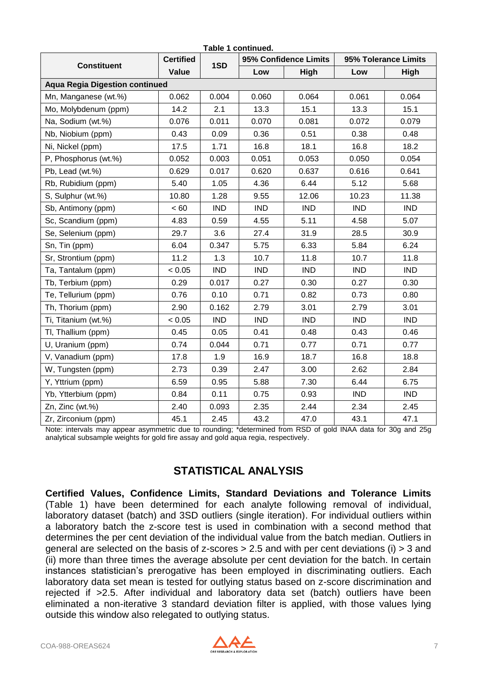| Table 1 continued.                    |                  |            |            |                       |            |                      |  |  |  |  |  |
|---------------------------------------|------------------|------------|------------|-----------------------|------------|----------------------|--|--|--|--|--|
| <b>Constituent</b>                    | <b>Certified</b> | 1SD        |            | 95% Confidence Limits |            | 95% Tolerance Limits |  |  |  |  |  |
|                                       | Value            |            | Low        | High                  | Low        | High                 |  |  |  |  |  |
| <b>Aqua Regia Digestion continued</b> |                  |            |            |                       |            |                      |  |  |  |  |  |
| Mn, Manganese (wt.%)                  | 0.062            | 0.004      | 0.060      | 0.064                 | 0.061      | 0.064                |  |  |  |  |  |
| Mo, Molybdenum (ppm)                  | 14.2             | 2.1        | 13.3       | 15.1                  | 13.3       | 15.1                 |  |  |  |  |  |
| Na, Sodium (wt.%)                     | 0.076            | 0.011      | 0.070      | 0.081                 | 0.072      | 0.079                |  |  |  |  |  |
| Nb, Niobium (ppm)                     | 0.43             | 0.09       | 0.36       | 0.51                  | 0.38       | 0.48                 |  |  |  |  |  |
| Ni, Nickel (ppm)                      | 17.5             | 1.71       | 16.8       | 18.1                  | 16.8       | 18.2                 |  |  |  |  |  |
| P, Phosphorus (wt.%)                  | 0.052            | 0.003      | 0.051      | 0.053                 | 0.050      | 0.054                |  |  |  |  |  |
| Pb, Lead (wt.%)                       | 0.629            | 0.017      | 0.620      | 0.637                 | 0.616      | 0.641                |  |  |  |  |  |
| Rb, Rubidium (ppm)                    | 5.40             | 1.05       | 4.36       | 6.44                  | 5.12       | 5.68                 |  |  |  |  |  |
| S, Sulphur (wt.%)                     | 10.80            | 1.28       | 9.55       | 12.06                 | 10.23      | 11.38                |  |  |  |  |  |
| Sb, Antimony (ppm)                    | < 60             | <b>IND</b> | <b>IND</b> | <b>IND</b>            | <b>IND</b> | <b>IND</b>           |  |  |  |  |  |
| Sc, Scandium (ppm)                    | 4.83             | 0.59       | 4.55       | 5.11                  | 4.58       | 5.07                 |  |  |  |  |  |
| Se, Selenium (ppm)                    | 29.7             | 3.6        | 27.4       | 31.9                  | 28.5       | 30.9                 |  |  |  |  |  |
| Sn, Tin (ppm)                         | 6.04             | 0.347      | 5.75       | 6.33                  | 5.84       | 6.24                 |  |  |  |  |  |
| Sr, Strontium (ppm)                   | 11.2             | 1.3        | 10.7       | 11.8                  | 10.7       | 11.8                 |  |  |  |  |  |
| Ta, Tantalum (ppm)                    | < 0.05           | <b>IND</b> | <b>IND</b> | <b>IND</b>            | <b>IND</b> | <b>IND</b>           |  |  |  |  |  |
| Tb, Terbium (ppm)                     | 0.29             | 0.017      | 0.27       | 0.30                  | 0.27       | 0.30                 |  |  |  |  |  |
| Te, Tellurium (ppm)                   | 0.76             | 0.10       | 0.71       | 0.82                  | 0.73       | 0.80                 |  |  |  |  |  |
| Th, Thorium (ppm)                     | 2.90             | 0.162      | 2.79       | 3.01                  | 2.79       | 3.01                 |  |  |  |  |  |
| Ti, Titanium (wt.%)                   | < 0.05           | <b>IND</b> | <b>IND</b> | <b>IND</b>            | <b>IND</b> | <b>IND</b>           |  |  |  |  |  |
| TI, Thallium (ppm)                    | 0.45             | 0.05       | 0.41       | 0.48                  | 0.43       | 0.46                 |  |  |  |  |  |
| U, Uranium (ppm)                      | 0.74             | 0.044      | 0.71       | 0.77                  | 0.71       | 0.77                 |  |  |  |  |  |
| V, Vanadium (ppm)                     | 17.8             | 1.9        | 16.9       | 18.7                  | 16.8       | 18.8                 |  |  |  |  |  |
| W, Tungsten (ppm)                     | 2.73             | 0.39       | 2.47       | 3.00                  | 2.62       | 2.84                 |  |  |  |  |  |
| Y, Yttrium (ppm)                      | 6.59             | 0.95       | 5.88       | 7.30                  | 6.44       | 6.75                 |  |  |  |  |  |
| Yb, Ytterbium (ppm)                   | 0.84             | 0.11       | 0.75       | 0.93                  | <b>IND</b> | <b>IND</b>           |  |  |  |  |  |
| Zn, Zinc (wt.%)                       | 2.40             | 0.093      | 2.35       | 2.44                  | 2.34       | 2.45                 |  |  |  |  |  |
| Zr, Zirconium (ppm)                   | 45.1             | 2.45       | 43.2       | 47.0                  | 43.1       | 47.1                 |  |  |  |  |  |

Note: intervals may appear asymmetric due to rounding; \*determined from RSD of gold INAA data for 30g and 25g analytical subsample weights for gold fire assay and gold aqua regia, respectively.

### **STATISTICAL ANALYSIS**

**Certified Values, Confidence Limits, Standard Deviations and Tolerance Limits**  (Table 1) have been determined for each analyte following removal of individual, laboratory dataset (batch) and 3SD outliers (single iteration). For individual outliers within a laboratory batch the z-score test is used in combination with a second method that determines the per cent deviation of the individual value from the batch median. Outliers in general are selected on the basis of z-scores > 2.5 and with per cent deviations (i) > 3 and (ii) more than three times the average absolute per cent deviation for the batch. In certain instances statistician's prerogative has been employed in discriminating outliers. Each laboratory data set mean is tested for outlying status based on z-score discrimination and rejected if >2.5. After individual and laboratory data set (batch) outliers have been eliminated a non-iterative 3 standard deviation filter is applied, with those values lying outside this window also relegated to outlying status.

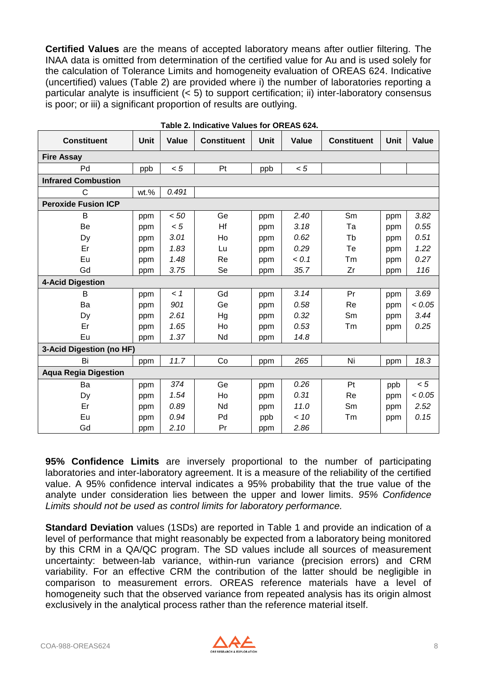**Certified Values** are the means of accepted laboratory means after outlier filtering. The INAA data is omitted from determination of the certified value for Au and is used solely for the calculation of Tolerance Limits and homogeneity evaluation of OREAS 624. Indicative (uncertified) values (Table 2) are provided where i) the number of laboratories reporting a particular analyte is insufficient (< 5) to support certification; ii) inter-laboratory consensus is poor; or iii) a significant proportion of results are outlying.

| <b>Constituent</b>          | <b>Unit</b> | <b>Value</b> | <b>Constituent</b> | Unit | Value | <b>Constituent</b> | <b>Unit</b> | Value  |
|-----------------------------|-------------|--------------|--------------------|------|-------|--------------------|-------------|--------|
| <b>Fire Assay</b>           |             |              |                    |      |       |                    |             |        |
| Pd                          | ppb         | < 5          | Pt                 | ppb  | < 5   |                    |             |        |
| <b>Infrared Combustion</b>  |             |              |                    |      |       |                    |             |        |
| C                           | wt.%        | 0.491        |                    |      |       |                    |             |        |
| <b>Peroxide Fusion ICP</b>  |             |              |                    |      |       |                    |             |        |
| B                           | ppm         | < 50         | Ge                 | ppm  | 2.40  | Sm                 | ppm         | 3.82   |
| Be                          | ppm         | < 5          | Hf                 | ppm  | 3.18  | Ta                 | ppm         | 0.55   |
| Dy                          | ppm         | 3.01         | Ho                 | ppm  | 0.62  | Tb                 | ppm         | 0.51   |
| Er                          | ppm         | 1.83         | Lu                 | ppm  | 0.29  | Te                 | ppm         | 1.22   |
| Eu                          | ppm         | 1.48         | Re                 | ppm  | < 0.1 | Tm                 | ppm         | 0.27   |
| Gd                          | ppm         | 3.75         | Se                 | ppm  | 35.7  | Zr                 | ppm         | 116    |
| <b>4-Acid Digestion</b>     |             |              |                    |      |       |                    |             |        |
| B                           | ppm         | < 1          | Gd                 | ppm  | 3.14  | Pr                 | ppm         | 3.69   |
| Ba                          | ppm         | 901          | Ge                 | ppm  | 0.58  | Re                 | ppm         | < 0.05 |
| Dy                          | ppm         | 2.61         | Hg                 | ppm  | 0.32  | Sm                 | ppm         | 3.44   |
| Er                          | ppm         | 1.65         | Ho                 | ppm  | 0.53  | Tm                 | ppm         | 0.25   |
| Eu                          | ppm         | 1.37         | Nd                 | ppm  | 14.8  |                    |             |        |
| 3-Acid Digestion (no HF)    |             |              |                    |      |       |                    |             |        |
| Bi                          | ppm         | 11.7         | Co                 | ppm  | 265   | Ni                 | ppm         | 18.3   |
| <b>Aqua Regia Digestion</b> |             |              |                    |      |       |                    |             |        |
| Ba                          | ppm         | 374          | Ge                 | ppm  | 0.26  | Pt                 | ppb         | < 5    |
| Dy                          | ppm         | 1.54         | Ho                 | ppm  | 0.31  | Re                 | ppm         | < 0.05 |
| Er                          | ppm         | 0.89         | Nd                 | ppm  | 11.0  | Sm                 | ppm         | 2.52   |
| Eu                          | ppm         | 0.94         | Pd                 | ppb  | < 10  | Tm                 | ppm         | 0.15   |
| Gd                          | ppm         | 2.10         | Pr                 | ppm  | 2.86  |                    |             |        |

| Table 2. Indicative Values for OREAS 624. |  |  |
|-------------------------------------------|--|--|
|                                           |  |  |

**95% Confidence Limits** are inversely proportional to the number of participating laboratories and inter-laboratory agreement. It is a measure of the reliability of the certified value. A 95% confidence interval indicates a 95% probability that the true value of the analyte under consideration lies between the upper and lower limits. *95% Confidence Limits should not be used as control limits for laboratory performance.*

**Standard Deviation** values (1SDs) are reported in Table 1 and provide an indication of a level of performance that might reasonably be expected from a laboratory being monitored by this CRM in a QA/QC program. The SD values include all sources of measurement uncertainty: between-lab variance, within-run variance (precision errors) and CRM variability. For an effective CRM the contribution of the latter should be negligible in comparison to measurement errors. OREAS reference materials have a level of homogeneity such that the observed variance from repeated analysis has its origin almost exclusively in the analytical process rather than the reference material itself.

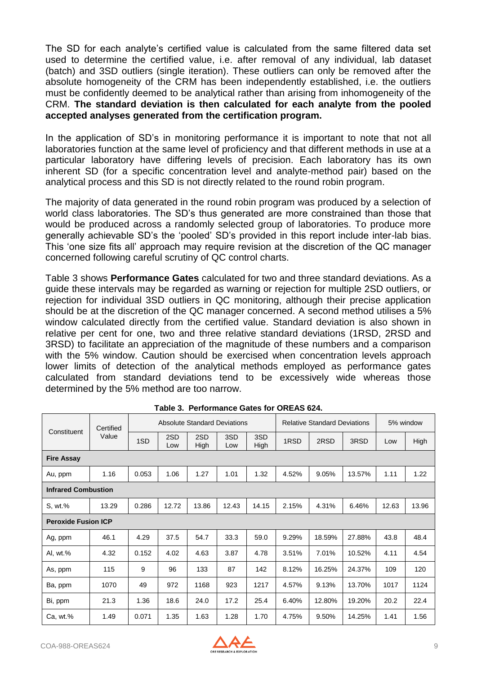The SD for each analyte's certified value is calculated from the same filtered data set used to determine the certified value, i.e. after removal of any individual, lab dataset (batch) and 3SD outliers (single iteration). These outliers can only be removed after the absolute homogeneity of the CRM has been independently established, i.e. the outliers must be confidently deemed to be analytical rather than arising from inhomogeneity of the CRM. **The standard deviation is then calculated for each analyte from the pooled accepted analyses generated from the certification program.**

In the application of SD's in monitoring performance it is important to note that not all laboratories function at the same level of proficiency and that different methods in use at a particular laboratory have differing levels of precision. Each laboratory has its own inherent SD (for a specific concentration level and analyte-method pair) based on the analytical process and this SD is not directly related to the round robin program.

The majority of data generated in the round robin program was produced by a selection of world class laboratories. The SD's thus generated are more constrained than those that would be produced across a randomly selected group of laboratories. To produce more generally achievable SD's the 'pooled' SD's provided in this report include inter-lab bias. This 'one size fits all' approach may require revision at the discretion of the QC manager concerned following careful scrutiny of QC control charts.

Table 3 shows **Performance Gates** calculated for two and three standard deviations. As a guide these intervals may be regarded as warning or rejection for multiple 2SD outliers, or rejection for individual 3SD outliers in QC monitoring, although their precise application should be at the discretion of the QC manager concerned. A second method utilises a 5% window calculated directly from the certified value. Standard deviation is also shown in relative per cent for one, two and three relative standard deviations (1RSD, 2RSD and 3RSD) to facilitate an appreciation of the magnitude of these numbers and a comparison with the 5% window. Caution should be exercised when concentration levels approach lower limits of detection of the analytical methods employed as performance gates calculated from standard deviations tend to be excessively wide whereas those determined by the 5% method are too narrow.

| Constituent                | Certified |       |            |             | <b>Absolute Standard Deviations</b> |             |       | <b>Relative Standard Deviations</b> |        | 5% window |       |
|----------------------------|-----------|-------|------------|-------------|-------------------------------------|-------------|-------|-------------------------------------|--------|-----------|-------|
|                            | Value     | 1SD   | 2SD<br>Low | 2SD<br>High | 3SD<br>Low                          | 3SD<br>High | 1RSD  | 2RSD                                | 3RSD   | Low       | High  |
| <b>Fire Assay</b>          |           |       |            |             |                                     |             |       |                                     |        |           |       |
| Au, ppm                    | 1.16      | 0.053 | 1.06       | 1.27        | 1.01                                | 1.32        | 4.52% | 9.05%                               | 13.57% | 1.11      | 1.22  |
| <b>Infrared Combustion</b> |           |       |            |             |                                     |             |       |                                     |        |           |       |
| S, wt.%                    | 13.29     | 0.286 | 12.72      | 13.86       | 12.43                               | 14.15       | 2.15% | 4.31%                               | 6.46%  | 12.63     | 13.96 |
| <b>Peroxide Fusion ICP</b> |           |       |            |             |                                     |             |       |                                     |        |           |       |
| Ag, ppm                    | 46.1      | 4.29  | 37.5       | 54.7        | 33.3                                | 59.0        | 9.29% | 18.59%                              | 27.88% | 43.8      | 48.4  |
| AI, wt.%                   | 4.32      | 0.152 | 4.02       | 4.63        | 3.87                                | 4.78        | 3.51% | 7.01%                               | 10.52% | 4.11      | 4.54  |
| As, ppm                    | 115       | 9     | 96         | 133         | 87                                  | 142         | 8.12% | 16.25%                              | 24.37% | 109       | 120   |
| Ba, ppm                    | 1070      | 49    | 972        | 1168        | 923                                 | 1217        | 4.57% | 9.13%                               | 13.70% | 1017      | 1124  |
| Bi, ppm                    | 21.3      | 1.36  | 18.6       | 24.0        | 17.2                                | 25.4        | 6.40% | 12.80%                              | 19.20% | 20.2      | 22.4  |
| Ca, wt.                    | 1.49      | 0.071 | 1.35       | 1.63        | 1.28                                | 1.70        | 4.75% | 9.50%                               | 14.25% | 1.41      | 1.56  |

**Table 3. Performance Gates for OREAS 624.**

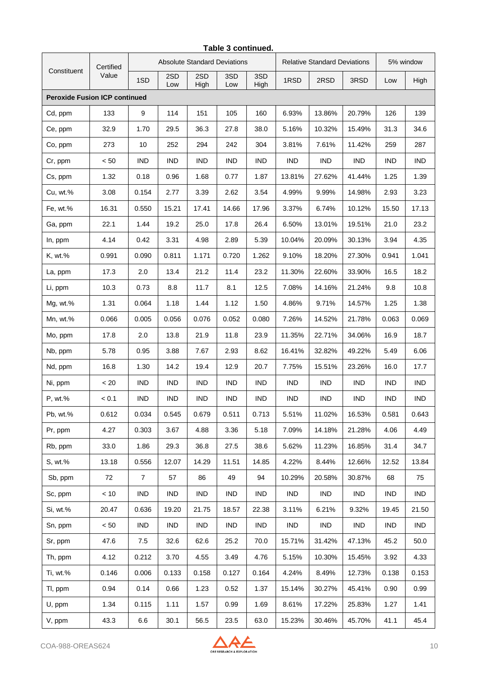|                                      | Certified |                |            |             | <b>Absolute Standard Deviations</b> |             |            | <b>Relative Standard Deviations</b> |            | 5% window  |            |
|--------------------------------------|-----------|----------------|------------|-------------|-------------------------------------|-------------|------------|-------------------------------------|------------|------------|------------|
| Constituent                          | Value     | 1SD            | 2SD<br>Low | 2SD<br>High | 3SD<br>Low                          | 3SD<br>High | 1RSD       | 2RSD                                | 3RSD       | Low        | High       |
| <b>Peroxide Fusion ICP continued</b> |           |                |            |             |                                     |             |            |                                     |            |            |            |
| Cd, ppm                              | 133       | 9              | 114        | 151         | 105                                 | 160         | 6.93%      | 13.86%                              | 20.79%     | 126        | 139        |
| Ce, ppm                              | 32.9      | 1.70           | 29.5       | 36.3        | 27.8                                | 38.0        | 5.16%      | 10.32%                              | 15.49%     | 31.3       | 34.6       |
| Co, ppm                              | 273       | 10             | 252        | 294         | 242                                 | 304         | 3.81%      | 7.61%                               | 11.42%     | 259        | 287        |
| Cr, ppm                              | < 50      | <b>IND</b>     | <b>IND</b> | <b>IND</b>  | <b>IND</b>                          | <b>IND</b>  | <b>IND</b> | <b>IND</b>                          | <b>IND</b> | <b>IND</b> | <b>IND</b> |
| Cs, ppm                              | 1.32      | 0.18           | 0.96       | 1.68        | 0.77                                | 1.87        | 13.81%     | 27.62%                              | 41.44%     | 1.25       | 1.39       |
| Cu, wt.%                             | 3.08      | 0.154          | 2.77       | 3.39        | 2.62                                | 3.54        | 4.99%      | 9.99%                               | 14.98%     | 2.93       | 3.23       |
| Fe, wt.%                             | 16.31     | 0.550          | 15.21      | 17.41       | 14.66                               | 17.96       | 3.37%      | 6.74%                               | 10.12%     | 15.50      | 17.13      |
| Ga, ppm                              | 22.1      | 1.44           | 19.2       | 25.0        | 17.8                                | 26.4        | 6.50%      | 13.01%                              | 19.51%     | 21.0       | 23.2       |
| In, ppm                              | 4.14      | 0.42           | 3.31       | 4.98        | 2.89                                | 5.39        | 10.04%     | 20.09%                              | 30.13%     | 3.94       | 4.35       |
| K, wt.%                              | 0.991     | 0.090          | 0.811      | 1.171       | 0.720                               | 1.262       | 9.10%      | 18.20%                              | 27.30%     | 0.941      | 1.041      |
| La, ppm                              | 17.3      | 2.0            | 13.4       | 21.2        | 11.4                                | 23.2        | 11.30%     | 22.60%                              | 33.90%     | 16.5       | 18.2       |
| Li, ppm                              | 10.3      | 0.73           | 8.8        | 11.7        | 8.1                                 | 12.5        | 7.08%      | 14.16%                              | 21.24%     | 9.8        | 10.8       |
| Mg, wt.%                             | 1.31      | 0.064          | 1.18       | 1.44        | 1.12                                | 1.50        | 4.86%      | 9.71%                               | 14.57%     | 1.25       | 1.38       |
| Mn, wt.%                             | 0.066     | 0.005          | 0.056      | 0.076       | 0.052                               | 0.080       | 7.26%      | 14.52%                              | 21.78%     | 0.063      | 0.069      |
| Mo, ppm                              | 17.8      | 2.0            | 13.8       | 21.9        | 11.8                                | 23.9        | 11.35%     | 22.71%                              | 34.06%     | 16.9       | 18.7       |
| Nb, ppm                              | 5.78      | 0.95           | 3.88       | 7.67        | 2.93                                | 8.62        | 16.41%     | 32.82%                              | 49.22%     | 5.49       | 6.06       |
| Nd, ppm                              | 16.8      | 1.30           | 14.2       | 19.4        | 12.9                                | 20.7        | 7.75%      | 15.51%                              | 23.26%     | 16.0       | 17.7       |
| Ni, ppm                              | $~<$ 20   | <b>IND</b>     | <b>IND</b> | <b>IND</b>  | <b>IND</b>                          | <b>IND</b>  | <b>IND</b> | <b>IND</b>                          | <b>IND</b> | <b>IND</b> | <b>IND</b> |
| P, wt.%                              | < 0.1     | <b>IND</b>     | <b>IND</b> | <b>IND</b>  | <b>IND</b>                          | <b>IND</b>  | <b>IND</b> | IND                                 | IND        | <b>IND</b> | <b>IND</b> |
| Pb, wt.%                             | 0.612     | 0.034          | 0.545      | 0.679       | 0.511                               | 0.713       | 5.51%      | 11.02%                              | 16.53%     | 0.581      | 0.643      |
| Pr, ppm                              | 4.27      | 0.303          | 3.67       | 4.88        | 3.36                                | 5.18        | 7.09%      | 14.18%                              | 21.28%     | 4.06       | 4.49       |
| Rb, ppm                              | 33.0      | 1.86           | 29.3       | 36.8        | 27.5                                | 38.6        | 5.62%      | 11.23%                              | 16.85%     | 31.4       | 34.7       |
| S, wt.%                              | 13.18     | 0.556          | 12.07      | 14.29       | 11.51                               | 14.85       | 4.22%      | 8.44%                               | 12.66%     | 12.52      | 13.84      |
| Sb, ppm                              | 72        | $\overline{7}$ | 57         | 86          | 49                                  | 94          | 10.29%     | 20.58%                              | 30.87%     | 68         | 75         |
| Sc, ppm                              | < 10      | IND            | <b>IND</b> | IND         | <b>IND</b>                          | <b>IND</b>  | IND        | IND                                 | IND        | IND        | IND        |
| Si, wt.%                             | 20.47     | 0.636          | 19.20      | 21.75       | 18.57                               | 22.38       | 3.11%      | 6.21%                               | 9.32%      | 19.45      | 21.50      |
| Sn, ppm                              | < 50      | <b>IND</b>     | <b>IND</b> | <b>IND</b>  | <b>IND</b>                          | <b>IND</b>  | IND        | <b>IND</b>                          | IND        | IND        | <b>IND</b> |
| Sr, ppm                              | 47.6      | 7.5            | 32.6       | 62.6        | 25.2                                | 70.0        | 15.71%     | 31.42%                              | 47.13%     | 45.2       | 50.0       |
| Th, ppm                              | 4.12      | 0.212          | 3.70       | 4.55        | 3.49                                | 4.76        | 5.15%      | 10.30%                              | 15.45%     | 3.92       | 4.33       |
| Ti, wt.%                             | 0.146     | 0.006          | 0.133      | 0.158       | 0.127                               | 0.164       | 4.24%      | 8.49%                               | 12.73%     | 0.138      | 0.153      |
| TI, ppm                              | 0.94      | 0.14           | 0.66       | 1.23        | 0.52                                | 1.37        | 15.14%     | 30.27%                              | 45.41%     | 0.90       | 0.99       |
| U, ppm                               | 1.34      | 0.115          | 1.11       | 1.57        | 0.99                                | 1.69        | 8.61%      | 17.22%                              | 25.83%     | 1.27       | 1.41       |
| V, ppm                               | 43.3      | 6.6            | 30.1       | 56.5        | 23.5                                | 63.0        | 15.23%     | 30.46%                              | 45.70%     | 41.1       | 45.4       |

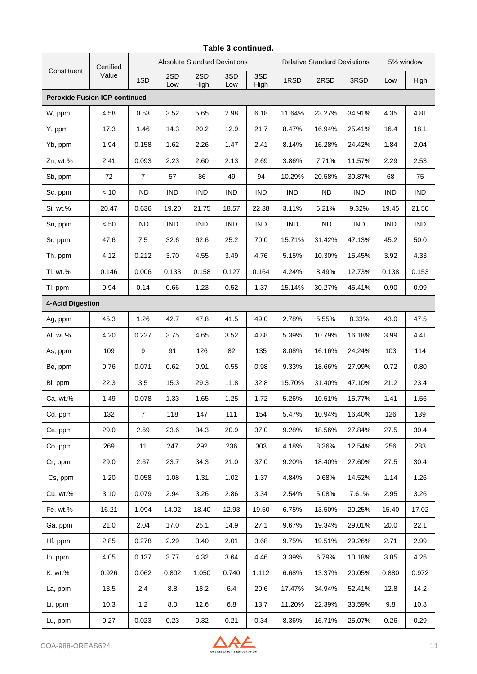|                                      | Certified |                | <b>Absolute Standard Deviations</b> |             |            |             |            | <b>Relative Standard Deviations</b> |            | 5% window  |            |
|--------------------------------------|-----------|----------------|-------------------------------------|-------------|------------|-------------|------------|-------------------------------------|------------|------------|------------|
| Constituent                          | Value     | 1SD            | 2SD<br>Low                          | 2SD<br>High | 3SD<br>Low | 3SD<br>High | 1RSD       | 2RSD                                | 3RSD       | Low        | High       |
| <b>Peroxide Fusion ICP continued</b> |           |                |                                     |             |            |             |            |                                     |            |            |            |
| W, ppm                               | 4.58      | 0.53           | 3.52                                | 5.65        | 2.98       | 6.18        | 11.64%     | 23.27%                              | 34.91%     | 4.35       | 4.81       |
| Y, ppm                               | 17.3      | 1.46           | 14.3                                | 20.2        | 12.9       | 21.7        | 8.47%      | 16.94%                              | 25.41%     | 16.4       | 18.1       |
| Yb, ppm                              | 1.94      | 0.158          | 1.62                                | 2.26        | 1.47       | 2.41        | 8.14%      | 16.28%                              | 24.42%     | 1.84       | 2.04       |
| $Zn$ , wt. $%$                       | 2.41      | 0.093          | 2.23                                | 2.60        | 2.13       | 2.69        | 3.86%      | 7.71%                               | 11.57%     | 2.29       | 2.53       |
| Sb, ppm                              | 72        | $\overline{7}$ | 57                                  | 86          | 49         | 94          | 10.29%     | 20.58%                              | 30.87%     | 68         | 75         |
| Sc, ppm                              | < 10      | <b>IND</b>     | <b>IND</b>                          | <b>IND</b>  | <b>IND</b> | <b>IND</b>  | IND        | IND                                 | IND        | IND        | IND        |
| Si, wt.%                             | 20.47     | 0.636          | 19.20                               | 21.75       | 18.57      | 22.38       | 3.11%      | 6.21%                               | 9.32%      | 19.45      | 21.50      |
| Sn, ppm                              | < 50      | <b>IND</b>     | <b>IND</b>                          | <b>IND</b>  | <b>IND</b> | <b>IND</b>  | <b>IND</b> | <b>IND</b>                          | <b>IND</b> | <b>IND</b> | <b>IND</b> |
| Sr, ppm                              | 47.6      | 7.5            | 32.6                                | 62.6        | 25.2       | 70.0        | 15.71%     | 31.42%                              | 47.13%     | 45.2       | 50.0       |
| Th, ppm                              | 4.12      | 0.212          | 3.70                                | 4.55        | 3.49       | 4.76        | 5.15%      | 10.30%                              | 15.45%     | 3.92       | 4.33       |
| Ti, wt.%                             | 0.146     | 0.006          | 0.133                               | 0.158       | 0.127      | 0.164       | 4.24%      | 8.49%                               | 12.73%     | 0.138      | 0.153      |
| TI, ppm                              | 0.94      | 0.14           | 0.66                                | 1.23        | 0.52       | 1.37        | 15.14%     | 30.27%                              | 45.41%     | 0.90       | 0.99       |
| 4-Acid Digestion                     |           |                |                                     |             |            |             |            |                                     |            |            |            |
| Ag, ppm                              | 45.3      | 1.26           | 42.7                                | 47.8        | 41.5       | 49.0        | 2.78%      | 5.55%                               | 8.33%      | 43.0       | 47.5       |
| Al, wt.%                             | 4.20      | 0.227          | 3.75                                | 4.65        | 3.52       | 4.88        | 5.39%      | 10.79%                              | 16.18%     | 3.99       | 4.41       |
| As, ppm                              | 109       | 9              | 91                                  | 126         | 82         | 135         | 8.08%      | 16.16%                              | 24.24%     | 103        | 114        |
| Be, ppm                              | 0.76      | 0.071          | 0.62                                | 0.91        | 0.55       | 0.98        | 9.33%      | 18.66%                              | 27.99%     | 0.72       | 0.80       |
| Bi, ppm                              | 22.3      | 3.5            | 15.3                                | 29.3        | 11.8       | 32.8        | 15.70%     | 31.40%                              | 47.10%     | 21.2       | 23.4       |
| Ca, wt.%                             | 1.49      | 0.078          | 1.33                                | 1.65        | 1.25       | 1.72        | 5.26%      | 10.51%                              | 15.77%     | 1.41       | 1.56       |
| Cd, ppm                              | 132       | $\overline{7}$ | 118                                 | 147         | 111        | 154         | 5.47%      | 10.94%                              | 16.40%     | 126        | 139        |
| Ce, ppm                              | 29.0      | 2.69           | 23.6                                | 34.3        | 20.9       | 37.0        | 9.28%      | 18.56%                              | 27.84%     | 27.5       | 30.4       |
| Co, ppm                              | 269       | 11             | 247                                 | 292         | 236        | 303         | 4.18%      | 8.36%                               | 12.54%     | 256        | 283        |
| Cr, ppm                              | 29.0      | 2.67           | 23.7                                | 34.3        | 21.0       | 37.0        | 9.20%      | 18.40%                              | 27.60%     | 27.5       | 30.4       |
| Cs, ppm                              | 1.20      | 0.058          | 1.08                                | 1.31        | 1.02       | 1.37        | 4.84%      | 9.68%                               | 14.52%     | 1.14       | 1.26       |
| Cu, wt.%                             | 3.10      | 0.079          | 2.94                                | 3.26        | 2.86       | 3.34        | 2.54%      | 5.08%                               | 7.61%      | 2.95       | 3.26       |
| Fe, wt.%                             | 16.21     | 1.094          | 14.02                               | 18.40       | 12.93      | 19.50       | 6.75%      | 13.50%                              | 20.25%     | 15.40      | 17.02      |
| Ga, ppm                              | 21.0      | 2.04           | 17.0                                | 25.1        | 14.9       | 27.1        | 9.67%      | 19.34%                              | 29.01%     | 20.0       | 22.1       |
| Hf, ppm                              | 2.85      | 0.278          | 2.29                                | 3.40        | 2.01       | 3.68        | 9.75%      | 19.51%                              | 29.26%     | 2.71       | 2.99       |
| In, ppm                              | 4.05      | 0.137          | 3.77                                | 4.32        | 3.64       | 4.46        | 3.39%      | 6.79%                               | 10.18%     | 3.85       | 4.25       |
| K, wt.%                              | 0.926     | 0.062          | 0.802                               | 1.050       | 0.740      | 1.112       | 6.68%      | 13.37%                              | 20.05%     | 0.880      | 0.972      |
| La, ppm                              | 13.5      | 2.4            | 8.8                                 | 18.2        | 6.4        | 20.6        | 17.47%     | 34.94%                              | 52.41%     | 12.8       | 14.2       |
| Li, ppm                              | 10.3      | 1.2            | 8.0                                 | 12.6        | 6.8        | 13.7        | 11.20%     | 22.39%                              | 33.59%     | 9.8        | 10.8       |
| Lu, ppm                              | 0.27      | 0.023          | 0.23                                | 0.32        | 0.21       | 0.34        | 8.36%      | 16.71%                              | 25.07%     | 0.26       | 0.29       |

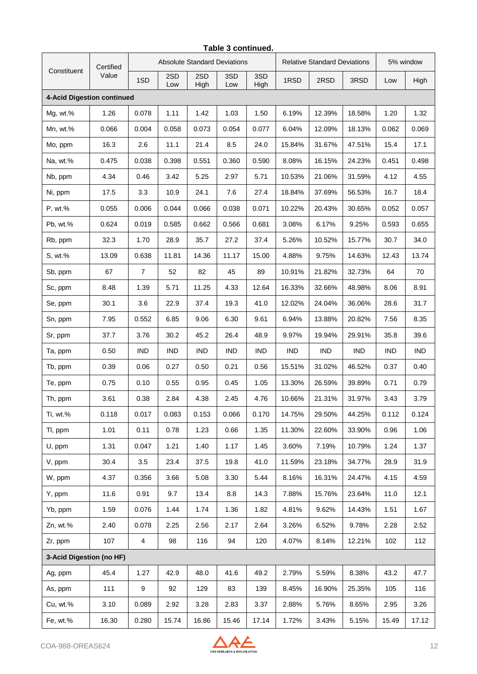|                            | Certified |                         |            |             | <b>Absolute Standard Deviations</b> |             |            | <b>Relative Standard Deviations</b> |            | 5% window  |            |
|----------------------------|-----------|-------------------------|------------|-------------|-------------------------------------|-------------|------------|-------------------------------------|------------|------------|------------|
| Constituent                | Value     | 1SD                     | 2SD<br>Low | 2SD<br>High | 3SD<br>Low                          | 3SD<br>High | 1RSD       | 2RSD                                | 3RSD       | Low        | High       |
| 4-Acid Digestion continued |           |                         |            |             |                                     |             |            |                                     |            |            |            |
| Mg, wt.%                   | 1.26      | 0.078                   | 1.11       | 1.42        | 1.03                                | 1.50        | 6.19%      | 12.39%                              | 18.58%     | 1.20       | 1.32       |
| Mn, wt.%                   | 0.066     | 0.004                   | 0.058      | 0.073       | 0.054                               | 0.077       | 6.04%      | 12.09%                              | 18.13%     | 0.062      | 0.069      |
| Mo, ppm                    | 16.3      | 2.6                     | 11.1       | 21.4        | 8.5                                 | 24.0        | 15.84%     | 31.67%                              | 47.51%     | 15.4       | 17.1       |
| Na, wt.%                   | 0.475     | 0.038                   | 0.398      | 0.551       | 0.360                               | 0.590       | 8.08%      | 16.15%                              | 24.23%     | 0.451      | 0.498      |
| Nb, ppm                    | 4.34      | 0.46                    | 3.42       | 5.25        | 2.97                                | 5.71        | 10.53%     | 21.06%                              | 31.59%     | 4.12       | 4.55       |
| Ni, ppm                    | 17.5      | 3.3                     | 10.9       | 24.1        | 7.6                                 | 27.4        | 18.84%     | 37.69%                              | 56.53%     | 16.7       | 18.4       |
| P, wt.%                    | 0.055     | 0.006                   | 0.044      | 0.066       | 0.038                               | 0.071       | 10.22%     | 20.43%                              | 30.65%     | 0.052      | 0.057      |
| Pb, wt.%                   | 0.624     | 0.019                   | 0.585      | 0.662       | 0.566                               | 0.681       | 3.08%      | 6.17%                               | 9.25%      | 0.593      | 0.655      |
| Rb, ppm                    | 32.3      | 1.70                    | 28.9       | 35.7        | 27.2                                | 37.4        | 5.26%      | 10.52%                              | 15.77%     | 30.7       | 34.0       |
| S, wt.%                    | 13.09     | 0.638                   | 11.81      | 14.36       | 11.17                               | 15.00       | 4.88%      | 9.75%                               | 14.63%     | 12.43      | 13.74      |
| Sb, ppm                    | 67        | $\overline{7}$          | 52         | 82          | 45                                  | 89          | 10.91%     | 21.82%                              | 32.73%     | 64         | 70         |
| Sc, ppm                    | 8.48      | 1.39                    | 5.71       | 11.25       | 4.33                                | 12.64       | 16.33%     | 32.66%                              | 48.98%     | 8.06       | 8.91       |
| Se, ppm                    | 30.1      | 3.6                     | 22.9       | 37.4        | 19.3                                | 41.0        | 12.02%     | 24.04%                              | 36.06%     | 28.6       | 31.7       |
| Sn, ppm                    | 7.95      | 0.552                   | 6.85       | 9.06        | 6.30                                | 9.61        | 6.94%      | 13.88%                              | 20.82%     | 7.56       | 8.35       |
| Sr, ppm                    | 37.7      | 3.76                    | 30.2       | 45.2        | 26.4                                | 48.9        | 9.97%      | 19.94%                              | 29.91%     | 35.8       | 39.6       |
| Ta, ppm                    | 0.50      | <b>IND</b>              | <b>IND</b> | <b>IND</b>  | <b>IND</b>                          | <b>IND</b>  | <b>IND</b> | <b>IND</b>                          | <b>IND</b> | <b>IND</b> | <b>IND</b> |
| Tb, ppm                    | 0.39      | 0.06                    | 0.27       | 0.50        | 0.21                                | 0.56        | 15.51%     | 31.02%                              | 46.52%     | 0.37       | 0.40       |
| Te, ppm                    | 0.75      | 0.10                    | 0.55       | 0.95        | 0.45                                | 1.05        | 13.30%     | 26.59%                              | 39.89%     | 0.71       | 0.79       |
| Th, ppm                    | 3.61      | 0.38                    | 2.84       | 4.38        | 2.45                                | 4.76        | 10.66%     | 21.31%                              | 31.97%     | 3.43       | 3.79       |
| Ti, wt.%                   | 0.118     | 0.017                   | 0.083      | 0.153       | 0.066                               | 0.170       | 14.75%     | 29.50%                              | 44.25%     | 0.112      | 0.124      |
| TI, ppm                    | 1.01      | 0.11                    | 0.78       | 1.23        | 0.66                                | 1.35        | 11.30%     | 22.60%                              | 33.90%     | 0.96       | 1.06       |
| U, ppm                     | 1.31      | 0.047                   | 1.21       | 1.40        | 1.17                                | 1.45        | 3.60%      | 7.19%                               | 10.79%     | 1.24       | 1.37       |
| V, ppm                     | 30.4      | 3.5                     | 23.4       | 37.5        | 19.8                                | 41.0        | 11.59%     | 23.18%                              | 34.77%     | 28.9       | 31.9       |
| W, ppm                     | 4.37      | 0.356                   | 3.66       | 5.08        | 3.30                                | 5.44        | 8.16%      | 16.31%                              | 24.47%     | 4.15       | 4.59       |
| Y, ppm                     | 11.6      | 0.91                    | 9.7        | 13.4        | 8.8                                 | 14.3        | 7.88%      | 15.76%                              | 23.64%     | 11.0       | 12.1       |
| Yb, ppm                    | 1.59      | 0.076                   | 1.44       | 1.74        | 1.36                                | 1.82        | 4.81%      | 9.62%                               | 14.43%     | 1.51       | 1.67       |
| Zn, wt.%                   | 2.40      | 0.078                   | 2.25       | 2.56        | 2.17                                | 2.64        | 3.26%      | 6.52%                               | 9.78%      | 2.28       | 2.52       |
| Zr, ppm                    | 107       | $\overline{\mathbf{4}}$ | 98         | 116         | 94                                  | 120         | 4.07%      | 8.14%                               | 12.21%     | 102        | 112        |
| 3-Acid Digestion (no HF)   |           |                         |            |             |                                     |             |            |                                     |            |            |            |
| Ag, ppm                    | 45.4      | 1.27                    | 42.9       | 48.0        | 41.6                                | 49.2        | 2.79%      | 5.59%                               | 8.38%      | 43.2       | 47.7       |
| As, ppm                    | 111       | 9                       | 92         | 129         | 83                                  | 139         | 8.45%      | 16.90%                              | 25.35%     | 105        | 116        |
| Cu, wt.%                   | 3.10      | 0.089                   | 2.92       | 3.28        | 2.83                                | 3.37        | 2.88%      | 5.76%                               | 8.65%      | 2.95       | 3.26       |
| Fe, wt.%                   | 16.30     | 0.280                   | 15.74      | 16.86       | 15.46                               | 17.14       | 1.72%      | 3.43%                               | 5.15%      | 15.49      | 17.12      |

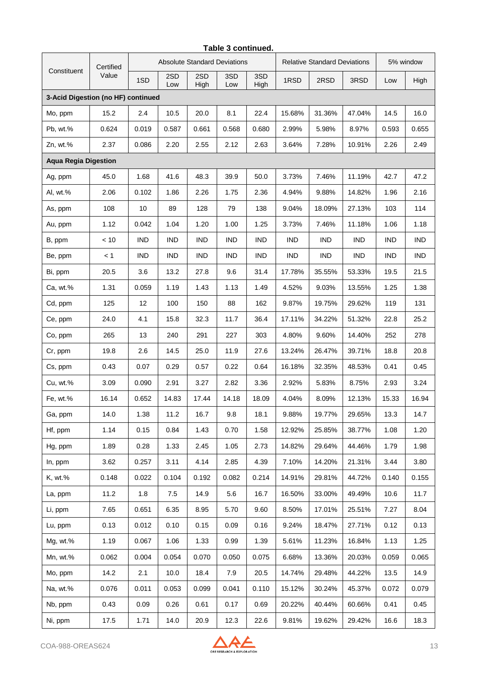|                                    | Certified |            |            |             | <b>Absolute Standard Deviations</b> |             | <b>Relative Standard Deviations</b> |            |            | 5% window  |            |
|------------------------------------|-----------|------------|------------|-------------|-------------------------------------|-------------|-------------------------------------|------------|------------|------------|------------|
| Constituent                        | Value     | 1SD        | 2SD<br>Low | 2SD<br>High | 3SD<br>Low                          | 3SD<br>High | 1RSD                                | 2RSD       | 3RSD       | Low        | High       |
| 3-Acid Digestion (no HF) continued |           |            |            |             |                                     |             |                                     |            |            |            |            |
| Mo, ppm                            | 15.2      | 2.4        | 10.5       | 20.0        | 8.1                                 | 22.4        | 15.68%                              | 31.36%     | 47.04%     | 14.5       | 16.0       |
| Pb, wt.%                           | 0.624     | 0.019      | 0.587      | 0.661       | 0.568                               | 0.680       | 2.99%                               | 5.98%      | 8.97%      | 0.593      | 0.655      |
| Zn, wt.%                           | 2.37      | 0.086      | 2.20       | 2.55        | 2.12                                | 2.63        | 3.64%                               | 7.28%      | 10.91%     | 2.26       | 2.49       |
| <b>Aqua Regia Digestion</b>        |           |            |            |             |                                     |             |                                     |            |            |            |            |
| Ag, ppm                            | 45.0      | 1.68       | 41.6       | 48.3        | 39.9                                | 50.0        | 3.73%                               | 7.46%      | 11.19%     | 42.7       | 47.2       |
| Al, wt.%                           | 2.06      | 0.102      | 1.86       | 2.26        | 1.75                                | 2.36        | 4.94%                               | 9.88%      | 14.82%     | 1.96       | 2.16       |
| As, ppm                            | 108       | $10$       | 89         | 128         | 79                                  | 138         | 9.04%                               | 18.09%     | 27.13%     | 103        | 114        |
| Au, ppm                            | 1.12      | 0.042      | 1.04       | 1.20        | 1.00                                | 1.25        | 3.73%                               | 7.46%      | 11.18%     | 1.06       | 1.18       |
| B, ppm                             | < 10      | <b>IND</b> | <b>IND</b> | <b>IND</b>  | <b>IND</b>                          | <b>IND</b>  | IND                                 | <b>IND</b> | <b>IND</b> | <b>IND</b> | <b>IND</b> |
| Be, ppm                            | < 1       | <b>IND</b> | <b>IND</b> | <b>IND</b>  | <b>IND</b>                          | <b>IND</b>  | <b>IND</b>                          | <b>IND</b> | <b>IND</b> | <b>IND</b> | <b>IND</b> |
| Bi, ppm                            | 20.5      | 3.6        | 13.2       | 27.8        | 9.6                                 | 31.4        | 17.78%                              | 35.55%     | 53.33%     | 19.5       | 21.5       |
| Ca, wt.%                           | 1.31      | 0.059      | 1.19       | 1.43        | 1.13                                | 1.49        | 4.52%                               | 9.03%      | 13.55%     | 1.25       | 1.38       |
| Cd, ppm                            | 125       | 12         | 100        | 150         | 88                                  | 162         | 9.87%                               | 19.75%     | 29.62%     | 119        | 131        |
| Ce, ppm                            | 24.0      | 4.1        | 15.8       | 32.3        | 11.7                                | 36.4        | 17.11%                              | 34.22%     | 51.32%     | 22.8       | 25.2       |
| Co, ppm                            | 265       | 13         | 240        | 291         | 227                                 | 303         | 4.80%                               | 9.60%      | 14.40%     | 252        | 278        |
| Cr, ppm                            | 19.8      | 2.6        | 14.5       | 25.0        | 11.9                                | 27.6        | 13.24%                              | 26.47%     | 39.71%     | 18.8       | 20.8       |
| Cs, ppm                            | 0.43      | 0.07       | 0.29       | 0.57        | 0.22                                | 0.64        | 16.18%                              | 32.35%     | 48.53%     | 0.41       | 0.45       |
| Cu, wt.%                           | 3.09      | 0.090      | 2.91       | 3.27        | 2.82                                | 3.36        | 2.92%                               | 5.83%      | 8.75%      | 2.93       | 3.24       |
| Fe, wt.%                           | 16.14     | 0.652      | 14.83      | 17.44       | 14.18                               | 18.09       | 4.04%                               | 8.09%      | 12.13%     | 15.33      | 16.94      |
| Ga, ppm                            | 14.0      | 1.38       | 11.2       | 16.7        | 9.8                                 | 18.1        | 9.88%                               | 19.77%     | 29.65%     | 13.3       | 14.7       |
| Hf, ppm                            | 1.14      | 0.15       | 0.84       | 1.43        | 0.70                                | 1.58        | 12.92%                              | 25.85%     | 38.77%     | 1.08       | 1.20       |
| Hg, ppm                            | 1.89      | 0.28       | 1.33       | 2.45        | 1.05                                | 2.73        | 14.82%                              | 29.64%     | 44.46%     | 1.79       | 1.98       |
| In, ppm                            | 3.62      | 0.257      | 3.11       | 4.14        | 2.85                                | 4.39        | 7.10%                               | 14.20%     | 21.31%     | 3.44       | 3.80       |
| K, wt.%                            | 0.148     | 0.022      | 0.104      | 0.192       | 0.082                               | 0.214       | 14.91%                              | 29.81%     | 44.72%     | 0.140      | 0.155      |
| La, ppm                            | 11.2      | 1.8        | 7.5        | 14.9        | 5.6                                 | 16.7        | 16.50%                              | 33.00%     | 49.49%     | 10.6       | 11.7       |
| Li, ppm                            | 7.65      | 0.651      | 6.35       | 8.95        | 5.70                                | 9.60        | 8.50%                               | 17.01%     | 25.51%     | 7.27       | 8.04       |
| Lu, ppm                            | 0.13      | 0.012      | 0.10       | 0.15        | 0.09                                | 0.16        | 9.24%                               | 18.47%     | 27.71%     | 0.12       | 0.13       |
| Mg, wt.%                           | 1.19      | 0.067      | 1.06       | 1.33        | 0.99                                | 1.39        | 5.61%                               | 11.23%     | 16.84%     | 1.13       | 1.25       |
| Mn, wt.%                           | 0.062     | 0.004      | 0.054      | 0.070       | 0.050                               | 0.075       | 6.68%                               | 13.36%     | 20.03%     | 0.059      | 0.065      |
| Mo, ppm                            | 14.2      | 2.1        | 10.0       | 18.4        | 7.9                                 | 20.5        | 14.74%                              | 29.48%     | 44.22%     | 13.5       | 14.9       |
| Na, wt.%                           | 0.076     | 0.011      | 0.053      | 0.099       | 0.041                               | 0.110       | 15.12%                              | 30.24%     | 45.37%     | 0.072      | 0.079      |
| Nb, ppm                            | 0.43      | 0.09       | 0.26       | 0.61        | 0.17                                | 0.69        | 20.22%                              | 40.44%     | 60.66%     | 0.41       | 0.45       |
| Ni, ppm                            | 17.5      | 1.71       | 14.0       | 20.9        | 12.3                                | 22.6        | 9.81%                               | 19.62%     | 29.42%     | 16.6       | 18.3       |

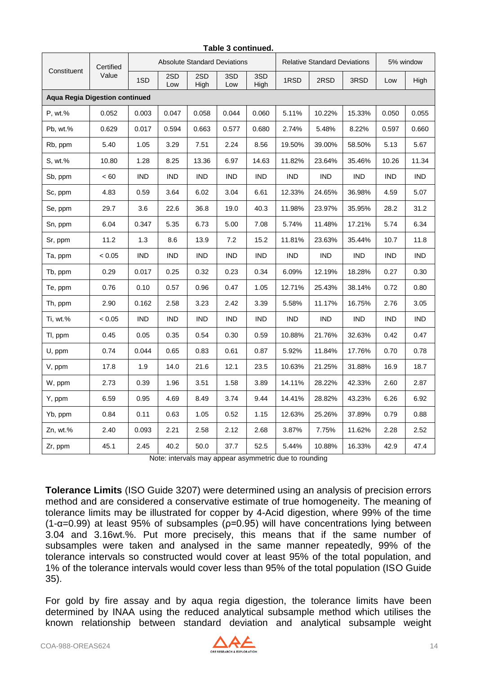| Constituent                           | Certified<br>Value | <b>Absolute Standard Deviations</b> |            |             |            |             | <b>Relative Standard Deviations</b> |            |            | 5% window  |            |
|---------------------------------------|--------------------|-------------------------------------|------------|-------------|------------|-------------|-------------------------------------|------------|------------|------------|------------|
|                                       |                    | 1SD                                 | 2SD<br>Low | 2SD<br>High | 3SD<br>Low | 3SD<br>High | 1RSD                                | 2RSD       | 3RSD       | Low        | High       |
| <b>Agua Regia Digestion continued</b> |                    |                                     |            |             |            |             |                                     |            |            |            |            |
| P, wt.%                               | 0.052              | 0.003                               | 0.047      | 0.058       | 0.044      | 0.060       | 5.11%                               | 10.22%     | 15.33%     | 0.050      | 0.055      |
| Pb, wt.%                              | 0.629              | 0.017                               | 0.594      | 0.663       | 0.577      | 0.680       | 2.74%                               | 5.48%      | 8.22%      | 0.597      | 0.660      |
| Rb, ppm                               | 5.40               | 1.05                                | 3.29       | 7.51        | 2.24       | 8.56        | 19.50%                              | 39.00%     | 58.50%     | 5.13       | 5.67       |
| S, wt.%                               | 10.80              | 1.28                                | 8.25       | 13.36       | 6.97       | 14.63       | 11.82%                              | 23.64%     | 35.46%     | 10.26      | 11.34      |
| Sb, ppm                               | < 60               | <b>IND</b>                          | <b>IND</b> | IND         | <b>IND</b> | <b>IND</b>  | <b>IND</b>                          | <b>IND</b> | <b>IND</b> | <b>IND</b> | <b>IND</b> |
| Sc, ppm                               | 4.83               | 0.59                                | 3.64       | 6.02        | 3.04       | 6.61        | 12.33%                              | 24.65%     | 36.98%     | 4.59       | 5.07       |
| Se, ppm                               | 29.7               | 3.6                                 | 22.6       | 36.8        | 19.0       | 40.3        | 11.98%                              | 23.97%     | 35.95%     | 28.2       | 31.2       |
| Sn, ppm                               | 6.04               | 0.347                               | 5.35       | 6.73        | 5.00       | 7.08        | 5.74%                               | 11.48%     | 17.21%     | 5.74       | 6.34       |
| Sr, ppm                               | 11.2               | 1.3                                 | 8.6        | 13.9        | 7.2        | 15.2        | 11.81%                              | 23.63%     | 35.44%     | 10.7       | 11.8       |
| Ta, ppm                               | < 0.05             | <b>IND</b>                          | <b>IND</b> | <b>IND</b>  | <b>IND</b> | <b>IND</b>  | <b>IND</b>                          | <b>IND</b> | <b>IND</b> | <b>IND</b> | <b>IND</b> |
| Tb, ppm                               | 0.29               | 0.017                               | 0.25       | 0.32        | 0.23       | 0.34        | 6.09%                               | 12.19%     | 18.28%     | 0.27       | 0.30       |
| Te, ppm                               | 0.76               | 0.10                                | 0.57       | 0.96        | 0.47       | 1.05        | 12.71%                              | 25.43%     | 38.14%     | 0.72       | 0.80       |
| Th, ppm                               | 2.90               | 0.162                               | 2.58       | 3.23        | 2.42       | 3.39        | 5.58%                               | 11.17%     | 16.75%     | 2.76       | 3.05       |
| Ti, wt.%                              | < 0.05             | <b>IND</b>                          | <b>IND</b> | <b>IND</b>  | <b>IND</b> | <b>IND</b>  | <b>IND</b>                          | <b>IND</b> | <b>IND</b> | <b>IND</b> | <b>IND</b> |
| TI, ppm                               | 0.45               | 0.05                                | 0.35       | 0.54        | 0.30       | 0.59        | 10.88%                              | 21.76%     | 32.63%     | 0.42       | 0.47       |
| U, ppm                                | 0.74               | 0.044                               | 0.65       | 0.83        | 0.61       | 0.87        | 5.92%                               | 11.84%     | 17.76%     | 0.70       | 0.78       |
| V, ppm                                | 17.8               | 1.9                                 | 14.0       | 21.6        | 12.1       | 23.5        | 10.63%                              | 21.25%     | 31.88%     | 16.9       | 18.7       |
| W, ppm                                | 2.73               | 0.39                                | 1.96       | 3.51        | 1.58       | 3.89        | 14.11%                              | 28.22%     | 42.33%     | 2.60       | 2.87       |
| Y, ppm                                | 6.59               | 0.95                                | 4.69       | 8.49        | 3.74       | 9.44        | 14.41%                              | 28.82%     | 43.23%     | 6.26       | 6.92       |
| Yb, ppm                               | 0.84               | 0.11                                | 0.63       | 1.05        | 0.52       | 1.15        | 12.63%                              | 25.26%     | 37.89%     | 0.79       | 0.88       |
| Zn, wt.%                              | 2.40               | 0.093                               | 2.21       | 2.58        | 2.12       | 2.68        | 3.87%                               | 7.75%      | 11.62%     | 2.28       | 2.52       |
| Zr, ppm                               | 45.1               | 2.45                                | 40.2       | 50.0        | 37.7       | 52.5        | 5.44%                               | 10.88%     | 16.33%     | 42.9       | 47.4       |

Note: intervals may appear asymmetric due to rounding

**Tolerance Limits** (ISO Guide 3207) were determined using an analysis of precision errors method and are considered a conservative estimate of true homogeneity. The meaning of tolerance limits may be illustrated for copper by 4-Acid digestion, where 99% of the time ( $1-\alpha$ =0.99) at least 95% of subsamples ( $p$ =0.95) will have concentrations lying between 3.04 and 3.16wt.%. Put more precisely, this means that if the same number of subsamples were taken and analysed in the same manner repeatedly, 99% of the tolerance intervals so constructed would cover at least 95% of the total population, and 1% of the tolerance intervals would cover less than 95% of the total population (ISO Guide 35).

For gold by fire assay and by aqua regia digestion, the tolerance limits have been determined by INAA using the reduced analytical subsample method which utilises the known relationship between standard deviation and analytical subsample weight

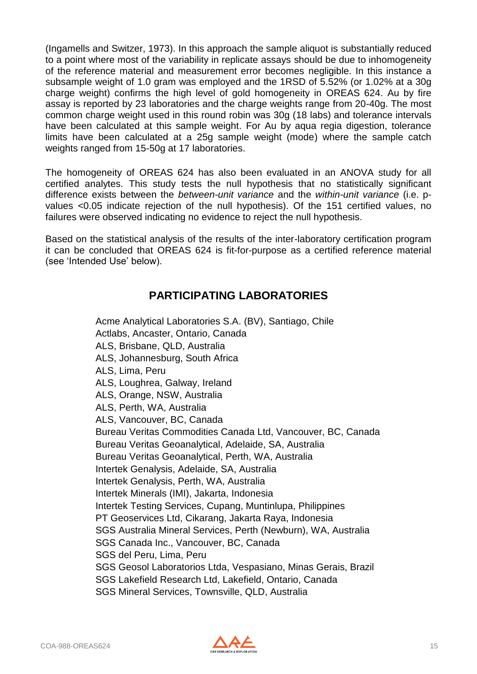(Ingamells and Switzer, 1973). In this approach the sample aliquot is substantially reduced to a point where most of the variability in replicate assays should be due to inhomogeneity of the reference material and measurement error becomes negligible. In this instance a subsample weight of 1.0 gram was employed and the 1RSD of 5.52% (or 1.02% at a 30g charge weight) confirms the high level of gold homogeneity in OREAS 624. Au by fire assay is reported by 23 laboratories and the charge weights range from 20-40g. The most common charge weight used in this round robin was 30g (18 labs) and tolerance intervals have been calculated at this sample weight. For Au by aqua regia digestion, tolerance limits have been calculated at a 25g sample weight (mode) where the sample catch weights ranged from 15-50g at 17 laboratories.

The homogeneity of OREAS 624 has also been evaluated in an ANOVA study for all certified analytes. This study tests the null hypothesis that no statistically significant difference exists between the *between-unit variance* and the *within-unit variance* (i.e. pvalues <0.05 indicate rejection of the null hypothesis). Of the 151 certified values, no failures were observed indicating no evidence to reject the null hypothesis.

Based on the statistical analysis of the results of the inter-laboratory certification program it can be concluded that OREAS 624 is fit-for-purpose as a certified reference material (see 'Intended Use' below).

### **PARTICIPATING LABORATORIES**

Acme Analytical Laboratories S.A. (BV), Santiago, Chile Actlabs, Ancaster, Ontario, Canada ALS, Brisbane, QLD, Australia ALS, Johannesburg, South Africa ALS, Lima, Peru ALS, Loughrea, Galway, Ireland ALS, Orange, NSW, Australia ALS, Perth, WA, Australia ALS, Vancouver, BC, Canada Bureau Veritas Commodities Canada Ltd, Vancouver, BC, Canada Bureau Veritas Geoanalytical, Adelaide, SA, Australia Bureau Veritas Geoanalytical, Perth, WA, Australia Intertek Genalysis, Adelaide, SA, Australia Intertek Genalysis, Perth, WA, Australia Intertek Minerals (IMI), Jakarta, Indonesia Intertek Testing Services, Cupang, Muntinlupa, Philippines PT Geoservices Ltd, Cikarang, Jakarta Raya, Indonesia SGS Australia Mineral Services, Perth (Newburn), WA, Australia SGS Canada Inc., Vancouver, BC, Canada SGS del Peru, Lima, Peru SGS Geosol Laboratorios Ltda, Vespasiano, Minas Gerais, Brazil SGS Lakefield Research Ltd, Lakefield, Ontario, Canada SGS Mineral Services, Townsville, QLD, Australia

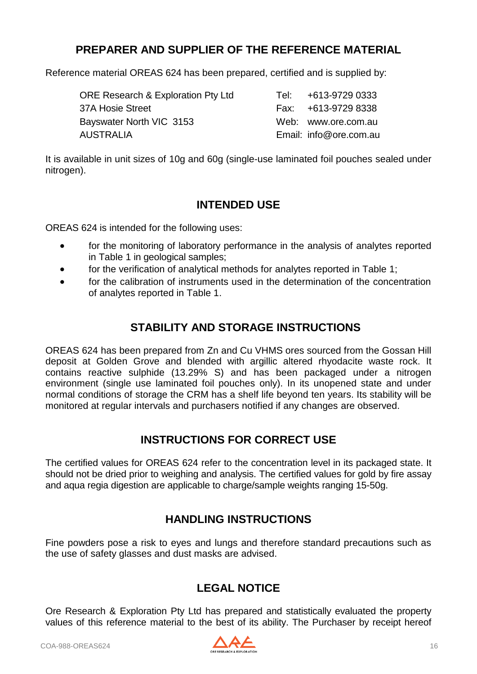### **PREPARER AND SUPPLIER OF THE REFERENCE MATERIAL**

Reference material OREAS 624 has been prepared, certified and is supplied by:

| Tel: +613-9729 0333    |
|------------------------|
| Fax: +613-9729 8338    |
| Web: www.ore.com.au    |
| Email: info@ore.com.au |
|                        |

It is available in unit sizes of 10g and 60g (single-use laminated foil pouches sealed under nitrogen).

### **INTENDED USE**

OREAS 624 is intended for the following uses:

- for the monitoring of laboratory performance in the analysis of analytes reported in Table 1 in geological samples;
- for the verification of analytical methods for analytes reported in Table 1;
- for the calibration of instruments used in the determination of the concentration of analytes reported in Table 1.

### **STABILITY AND STORAGE INSTRUCTIONS**

OREAS 624 has been prepared from Zn and Cu VHMS ores sourced from the Gossan Hill deposit at Golden Grove and blended with argillic altered rhyodacite waste rock. It contains reactive sulphide (13.29% S) and has been packaged under a nitrogen environment (single use laminated foil pouches only). In its unopened state and under normal conditions of storage the CRM has a shelf life beyond ten years. Its stability will be monitored at regular intervals and purchasers notified if any changes are observed.

### **INSTRUCTIONS FOR CORRECT USE**

The certified values for OREAS 624 refer to the concentration level in its packaged state. It should not be dried prior to weighing and analysis. The certified values for gold by fire assay and aqua regia digestion are applicable to charge/sample weights ranging 15-50g.

### **HANDLING INSTRUCTIONS**

Fine powders pose a risk to eyes and lungs and therefore standard precautions such as the use of safety glasses and dust masks are advised.

### **LEGAL NOTICE**

Ore Research & Exploration Pty Ltd has prepared and statistically evaluated the property values of this reference material to the best of its ability. The Purchaser by receipt hereof